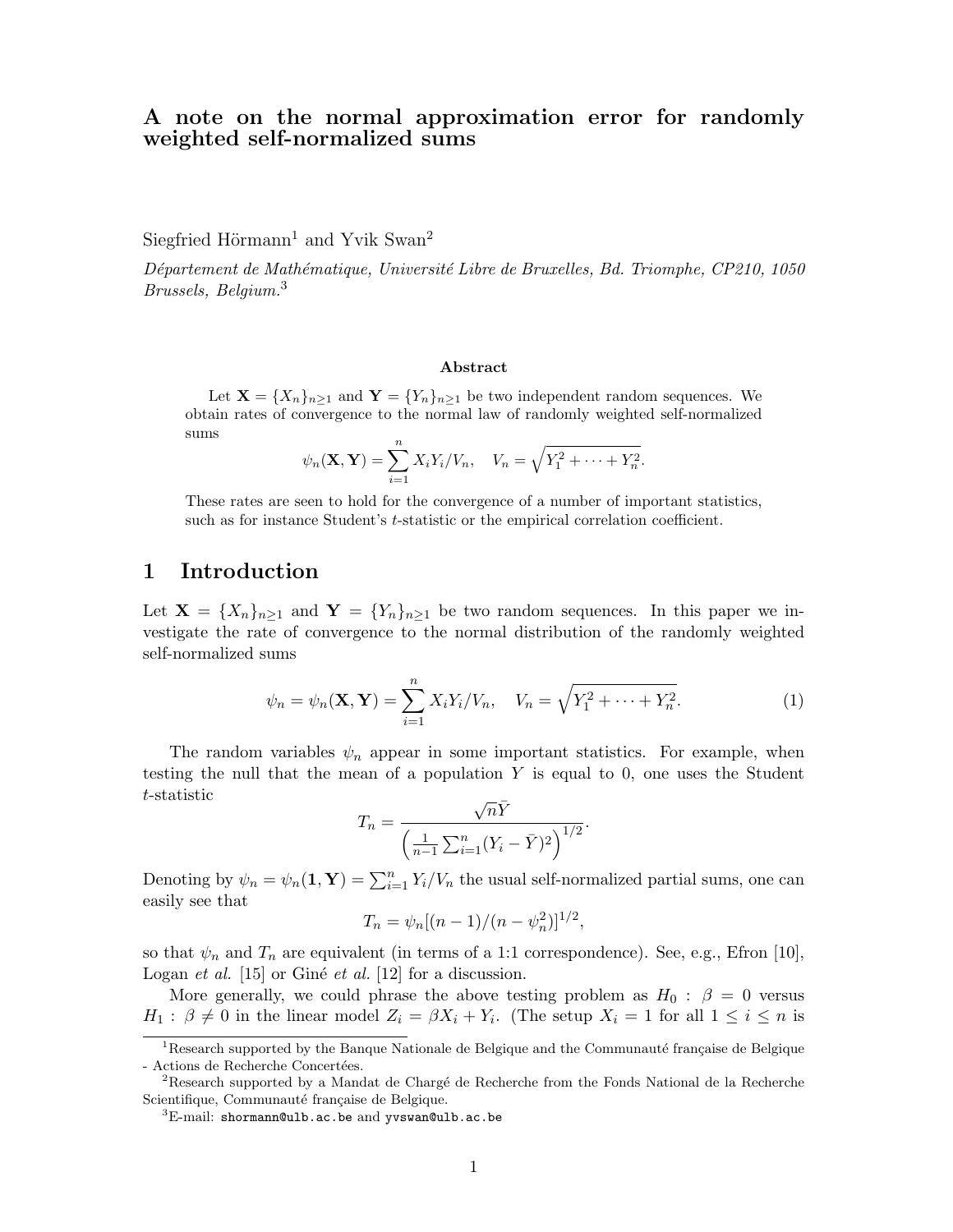# A note on the normal approximation error for randomly weighted self-normalized sums

Siegfried Hörmann<sup>1</sup> and Yvik Swan<sup>2</sup>

Département de Mathématique, Université Libre de Bruxelles, Bd. Triomphe, CP210, 1050 Brussels, Belgium.<sup>3</sup>

#### Abstract

Let  $\mathbf{X} = \{X_n\}_{n\geq 1}$  and  $\mathbf{Y} = \{Y_n\}_{n\geq 1}$  be two independent random sequences. We obtain rates of convergence to the normal law of randomly weighted self-normalized sums

$$
\psi_n(\mathbf{X}, \mathbf{Y}) = \sum_{i=1}^n X_i Y_i / V_n, \quad V_n = \sqrt{Y_1^2 + \dots + Y_n^2}.
$$

These rates are seen to hold for the convergence of a number of important statistics, such as for instance Student's t-statistic or the empirical correlation coefficient.

# 1 Introduction

Let  $\mathbf{X} = \{X_n\}_{n\geq 1}$  and  $\mathbf{Y} = \{Y_n\}_{n\geq 1}$  be two random sequences. In this paper we investigate the rate of convergence to the normal distribution of the randomly weighted self-normalized sums

$$
\psi_n = \psi_n(\mathbf{X}, \mathbf{Y}) = \sum_{i=1}^n X_i Y_i / V_n, \quad V_n = \sqrt{Y_1^2 + \dots + Y_n^2}.
$$
 (1)

The random variables  $\psi_n$  appear in some important statistics. For example, when testing the null that the mean of a population  $Y$  is equal to 0, one uses the Student t-statistic √

$$
T_n = \frac{\sqrt{n}\bar{Y}}{\left(\frac{1}{n-1}\sum_{i=1}^n (Y_i - \bar{Y})^2\right)^{1/2}}.
$$

Denoting by  $\psi_n = \psi_n(1, \mathbf{Y}) = \sum_{i=1}^n Y_i/V_n$  the usual self-normalized partial sums, one can easily see that

$$
T_n = \psi_n[(n-1)/(n-\psi_n^2)]^{1/2},
$$

so that  $\psi_n$  and  $T_n$  are equivalent (in terms of a 1:1 correspondence). See, e.g., Efron [10], Logan et al.  $[15]$  or Giné et al.  $[12]$  for a discussion.

More generally, we could phrase the above testing problem as  $H_0$ :  $\beta = 0$  versus  $H_1: \beta \neq 0$  in the linear model  $Z_i = \beta X_i + Y_i$ . (The setup  $X_i = 1$  for all  $1 \leq i \leq n$  is

 $1$ Research supported by the Banque Nationale de Belgique and the Communauté française de Belgique - Actions de Recherche Concertées.

<sup>&</sup>lt;sup>2</sup>Research supported by a Mandat de Chargé de Recherche from the Fonds National de la Recherche Scientifique, Communauté française de Belgique.

 ${}^{3}$ E-mail: shormann@ulb.ac.be and yvswan@ulb.ac.be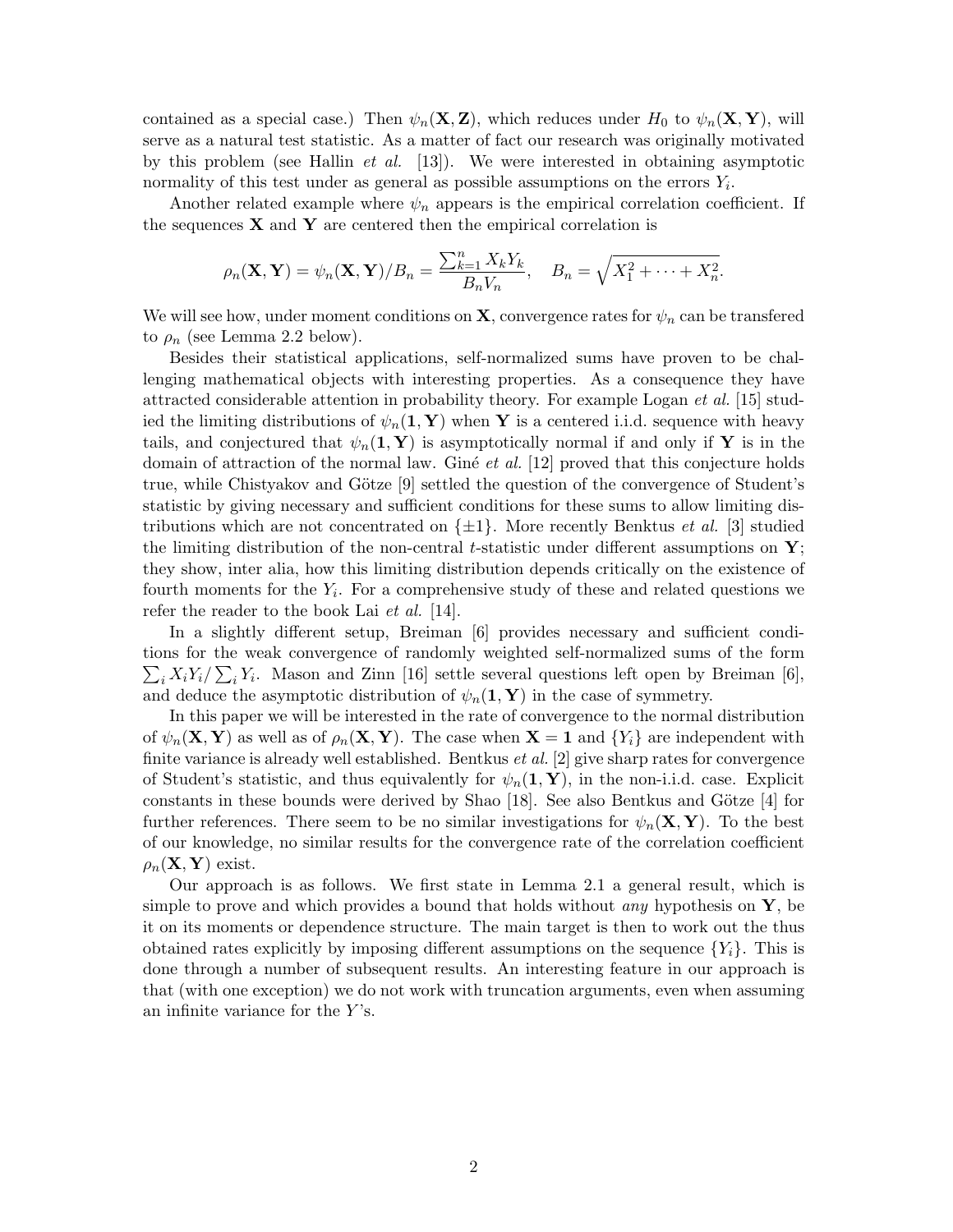contained as a special case.) Then  $\psi_n(\mathbf{X}, \mathbf{Z})$ , which reduces under  $H_0$  to  $\psi_n(\mathbf{X}, \mathbf{Y})$ , will serve as a natural test statistic. As a matter of fact our research was originally motivated by this problem (see Hallin *et al.* [13]). We were interested in obtaining asymptotic normality of this test under as general as possible assumptions on the errors  $Y_i$ .

Another related example where  $\psi_n$  appears is the empirical correlation coefficient. If the sequences  $X$  and  $Y$  are centered then the empirical correlation is

$$
\rho_n(\mathbf{X}, \mathbf{Y}) = \psi_n(\mathbf{X}, \mathbf{Y})/B_n = \frac{\sum_{k=1}^n X_k Y_k}{B_n V_n}, \quad B_n = \sqrt{X_1^2 + \dots + X_n^2}.
$$

We will see how, under moment conditions on **X**, convergence rates for  $\psi_n$  can be transfered to  $\rho_n$  (see Lemma 2.2 below).

Besides their statistical applications, self-normalized sums have proven to be challenging mathematical objects with interesting properties. As a consequence they have attracted considerable attention in probability theory. For example Logan  $et al.$  [15] studied the limiting distributions of  $\psi_n(1, Y)$  when Y is a centered i.i.d. sequence with heavy tails, and conjectured that  $\psi_n(1, Y)$  is asymptotically normal if and only if Y is in the domain of attraction of the normal law. Giné *et al.* [12] proved that this conjecture holds true, while Chistyakov and Götze  $[9]$  settled the question of the convergence of Student's statistic by giving necessary and sufficient conditions for these sums to allow limiting distributions which are not concentrated on  $\{\pm 1\}$ . More recently Benktus *et al.* [3] studied the limiting distribution of the non-central t-statistic under different assumptions on  $\mathbf{Y};$ they show, inter alia, how this limiting distribution depends critically on the existence of fourth moments for the  $Y_i$ . For a comprehensive study of these and related questions we refer the reader to the book Lai *et al.* [14].

In a slightly different setup, Breiman [6] provides necessary and sufficient conditions for the weak convergence of randomly weighted self-normalized sums of the form  $\sum_i X_i Y_i / \sum_i Y_i$ . Mason and Zinn [16] settle several questions left open by Breiman [6], and deduce the asymptotic distribution of  $\psi_n(1, Y)$  in the case of symmetry.

In this paper we will be interested in the rate of convergence to the normal distribution of  $\psi_n(\mathbf{X}, \mathbf{Y})$  as well as of  $\rho_n(\mathbf{X}, \mathbf{Y})$ . The case when  $\mathbf{X} = 1$  and  $\{Y_i\}$  are independent with finite variance is already well established. Bentkus *et al.* [2] give sharp rates for convergence of Student's statistic, and thus equivalently for  $\psi_n(1, Y)$ , in the non-i.i.d. case. Explicit constants in these bounds were derived by Shao [18]. See also Bentkus and Götze [4] for further references. There seem to be no similar investigations for  $\psi_n(\mathbf{X}, \mathbf{Y})$ . To the best of our knowledge, no similar results for the convergence rate of the correlation coefficient  $\rho_n(\mathbf{X}, \mathbf{Y})$  exist.

Our approach is as follows. We first state in Lemma 2.1 a general result, which is simple to prove and which provides a bound that holds without *any* hypothesis on  $\mathbf{Y}$ , be it on its moments or dependence structure. The main target is then to work out the thus obtained rates explicitly by imposing different assumptions on the sequence  ${Y_i}$ . This is done through a number of subsequent results. An interesting feature in our approach is that (with one exception) we do not work with truncation arguments, even when assuming an infinite variance for the  $Y$ 's.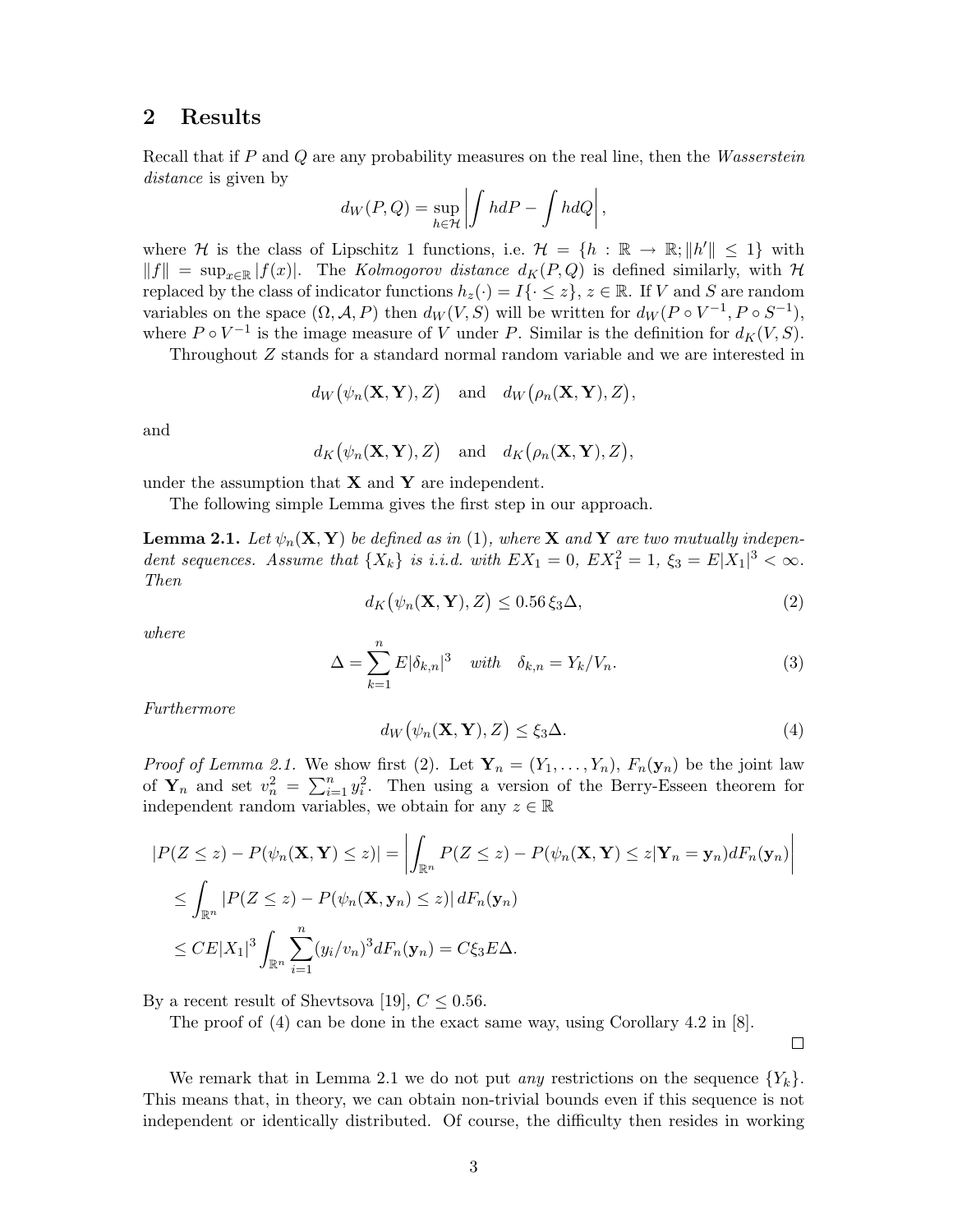### 2 Results

Recall that if P and Q are any probability measures on the real line, then the Wasserstein distance is given by

$$
d_W(P,Q) = \sup_{h \in \mathcal{H}} \left| \int h dP - \int h dQ \right|,
$$

where H is the class of Lipschitz 1 functions, i.e.  $\mathcal{H} = \{h : \mathbb{R} \to \mathbb{R}; ||h'|| \leq 1\}$  with  $||f|| = \sup_{x \in \mathbb{R}} |f(x)|$ . The Kolmogorov distance  $d_K(P,Q)$  is defined similarly, with H replaced by the class of indicator functions  $h_z(\cdot) = I\{\cdot \leq z\}, z \in \mathbb{R}$ . If V and S are random variables on the space  $(\Omega, \mathcal{A}, P)$  then  $d_W(V, S)$  will be written for  $d_W(P \circ V^{-1}, P \circ S^{-1}),$ where  $P \circ V^{-1}$  is the image measure of V under P. Similar is the definition for  $d_K(V, S)$ .

Throughout Z stands for a standard normal random variable and we are interested in

$$
d_W\big(\psi_n(\mathbf{X},\mathbf{Y}),Z\big) \quad \text{and} \quad d_W\big(\rho_n(\mathbf{X},\mathbf{Y}),Z\big),
$$

and

$$
d_K(\psi_n(\mathbf{X}, \mathbf{Y}), Z)
$$
 and  $d_K(\rho_n(\mathbf{X}, \mathbf{Y}), Z)$ ,

under the assumption that  $X$  and  $Y$  are independent.

The following simple Lemma gives the first step in our approach.

**Lemma 2.1.** Let  $\psi_n(\mathbf{X}, \mathbf{Y})$  be defined as in (1), where **X** and **Y** are two mutually independent sequences. Assume that  $\{X_k\}$  is i.i.d. with  $EX_1 = 0$ ,  $EX_1^2 = 1$ ,  $\xi_3 = E|X_1|^3 < \infty$ . Then

$$
d_K(\psi_n(\mathbf{X}, \mathbf{Y}), Z) \le 0.56 \xi_3 \Delta,
$$
\n(2)

where

$$
\Delta = \sum_{k=1}^{n} E|\delta_{k,n}|^3 \quad \text{with} \quad \delta_{k,n} = Y_k/V_n. \tag{3}
$$

Furthermore

$$
d_W(\psi_n(\mathbf{X}, \mathbf{Y}), Z) \le \xi_3 \Delta. \tag{4}
$$

*Proof of Lemma 2.1.* We show first (2). Let  $\mathbf{Y}_n = (Y_1, \ldots, Y_n)$ ,  $F_n(\mathbf{y}_n)$  be the joint law of  $Y_n$  and set  $v_n^2 = \sum_{i=1}^n y_i^2$ . Then using a version of the Berry-Esseen theorem for independent random variables, we obtain for any  $z \in \mathbb{R}$ 

$$
|P(Z \le z) - P(\psi_n(\mathbf{X}, \mathbf{Y}) \le z)| = \left| \int_{\mathbb{R}^n} P(Z \le z) - P(\psi_n(\mathbf{X}, \mathbf{Y}) \le z | \mathbf{Y}_n = \mathbf{y}_n) dF_n(\mathbf{y}_n) \right|
$$
  
\n
$$
\le \int_{\mathbb{R}^n} |P(Z \le z) - P(\psi_n(\mathbf{X}, \mathbf{y}_n) \le z)| dF_n(\mathbf{y}_n)
$$
  
\n
$$
\le CE|X_1|^3 \int_{\mathbb{R}^n} \sum_{i=1}^n (y_i/v_n)^3 dF_n(\mathbf{y}_n) = C\xi_3 E\Delta.
$$

By a recent result of Shevtsova [19],  $C \leq 0.56$ .

The proof of  $(4)$  can be done in the exact same way, using Corollary 4.2 in [8].

 $\Box$ 

We remark that in Lemma 2.1 we do not put *any* restrictions on the sequence  ${Y_k}$ . This means that, in theory, we can obtain non-trivial bounds even if this sequence is not independent or identically distributed. Of course, the difficulty then resides in working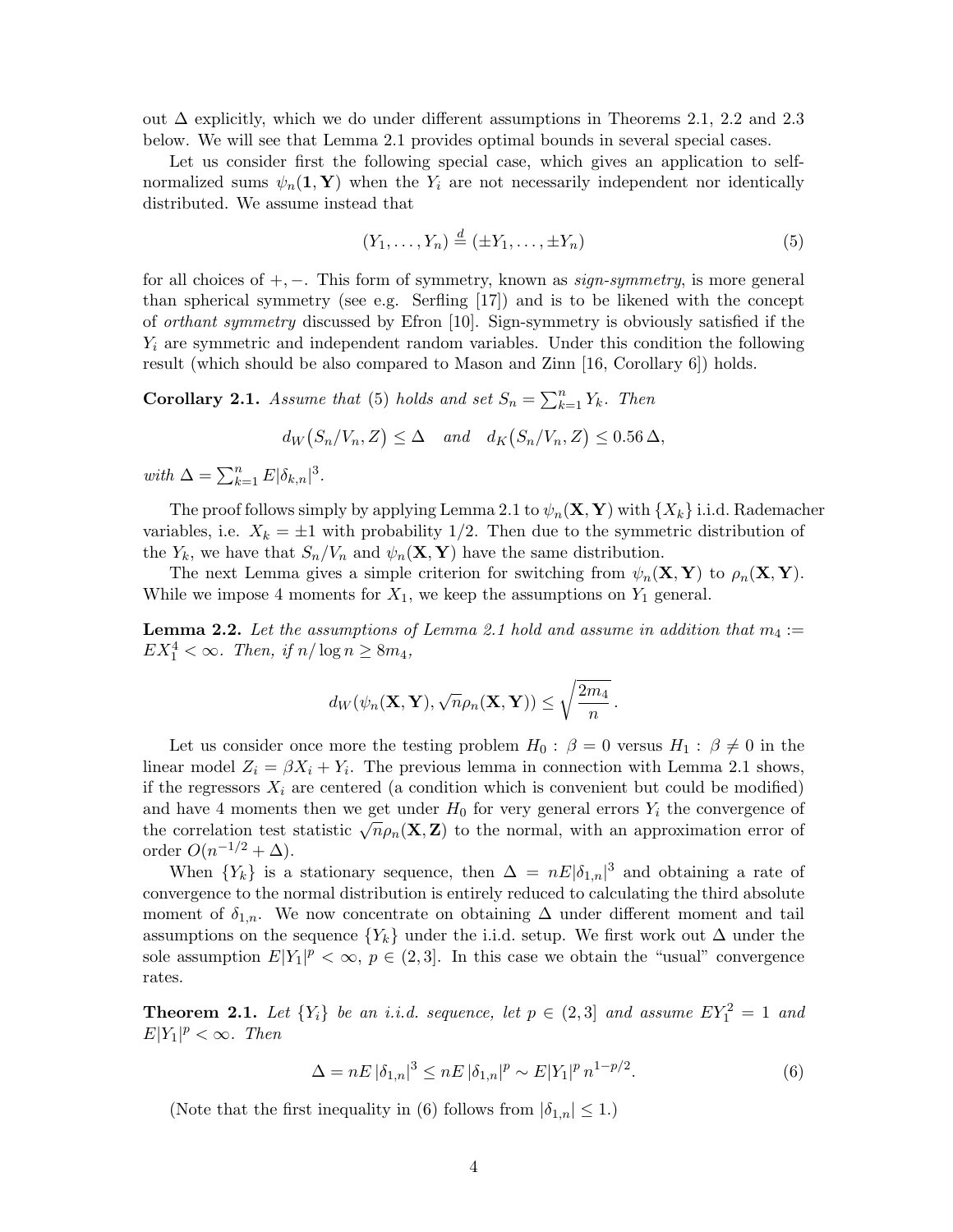out  $\Delta$  explicitly, which we do under different assumptions in Theorems 2.1, 2.2 and 2.3 below. We will see that Lemma 2.1 provides optimal bounds in several special cases.

Let us consider first the following special case, which gives an application to selfnormalized sums  $\psi_n(1, Y)$  when the  $Y_i$  are not necessarily independent nor identically distributed. We assume instead that

$$
(Y_1, \ldots, Y_n) \stackrel{d}{=} (\pm Y_1, \ldots, \pm Y_n) \tag{5}
$$

for all choices of  $+$ ,  $-$ . This form of symmetry, known as *sign-symmetry*, is more general than spherical symmetry (see e.g. Serfling  $[17]$ ) and is to be likened with the concept of orthant symmetry discussed by Efron [10]. Sign-symmetry is obviously satisfied if the  $Y_i$  are symmetric and independent random variables. Under this condition the following result (which should be also compared to Mason and Zinn [16, Corollary 6]) holds.

**Corollary 2.1.** Assume that (5) holds and set  $S_n = \sum_{k=1}^n Y_k$ . Then

$$
d_W(S_n/V_n, Z) \le \Delta \quad and \quad d_K(S_n/V_n, Z) \le 0.56 \Delta,
$$

with  $\Delta = \sum_{k=1}^{n} E|\delta_{k,n}|^3$ .

The proof follows simply by applying Lemma 2.1 to  $\psi_n(\mathbf{X}, \mathbf{Y})$  with  $\{X_k\}$  i.i.d. Rademacher variables, i.e.  $X_k = \pm 1$  with probability 1/2. Then due to the symmetric distribution of the  $Y_k$ , we have that  $S_n/V_n$  and  $\psi_n(\mathbf{X}, \mathbf{Y})$  have the same distribution.

The next Lemma gives a simple criterion for switching from  $\psi_n(\mathbf{X}, \mathbf{Y})$  to  $\rho_n(\mathbf{X}, \mathbf{Y})$ . While we impose 4 moments for  $X_1$ , we keep the assumptions on  $Y_1$  general.

**Lemma 2.2.** Let the assumptions of Lemma 2.1 hold and assume in addition that  $m_4$ :=  $EX_1^4 < \infty$ . Then, if  $n/\log n \ge 8m_4$ ,

$$
d_W(\psi_n(\mathbf{X}, \mathbf{Y}), \sqrt{n}\rho_n(\mathbf{X}, \mathbf{Y})) \leq \sqrt{\frac{2m_4}{n}}.
$$

Let us consider once more the testing problem  $H_0$ :  $\beta = 0$  versus  $H_1$ :  $\beta \neq 0$  in the linear model  $Z_i = \beta X_i + Y_i$ . The previous lemma in connection with Lemma 2.1 shows, if the regressors  $X_i$  are centered (a condition which is convenient but could be modified) and have 4 moments then we get under  $H_0$  for very general errors  $Y_i$  the convergence of the correlation test statistic  $\sqrt{n}\rho_n(\mathbf{X}, \mathbf{Z})$  to the normal, with an approximation error of order  $O(n^{-1/2} + \Delta)$ .

When  ${Y_k}$  is a stationary sequence, then  $\Delta = nE|\delta_{1,n}|^3$  and obtaining a rate of convergence to the normal distribution is entirely reduced to calculating the third absolute moment of  $\delta_{1,n}$ . We now concentrate on obtaining  $\Delta$  under different moment and tail assumptions on the sequence  ${Y_k}$  under the i.i.d. setup. We first work out  $\Delta$  under the sole assumption  $E[Y_1]^p < \infty$ ,  $p \in (2,3]$ . In this case we obtain the "usual" convergence rates.

**Theorem 2.1.** Let  $\{Y_i\}$  be an i.i.d. sequence, let  $p \in (2,3]$  and assume  $EY_1^2 = 1$  and  $E|Y_1|^p < \infty$ . Then

$$
\Delta = nE |\delta_{1,n}|^3 \le nE |\delta_{1,n}|^p \sim E|Y_1|^p n^{1-p/2}.
$$
\n(6)

(Note that the first inequality in (6) follows from  $|\delta_{1,n}| \leq 1$ .)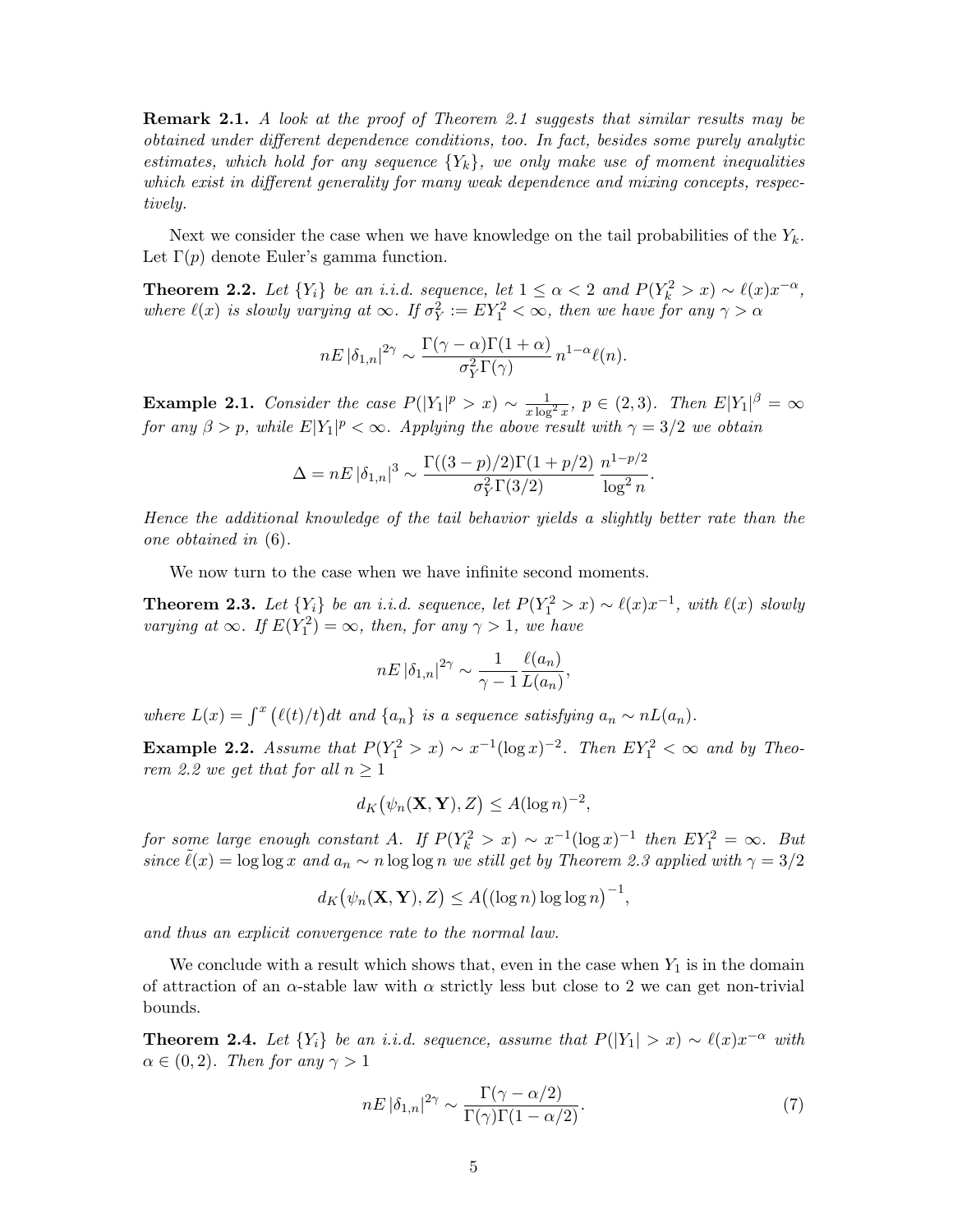Remark 2.1. A look at the proof of Theorem 2.1 suggests that similar results may be obtained under different dependence conditions, too. In fact, besides some purely analytic estimates, which hold for any sequence  ${Y_k}$ , we only make use of moment inequalities which exist in different generality for many weak dependence and mixing concepts, respectively.

Next we consider the case when we have knowledge on the tail probabilities of the  $Y_k$ . Let  $\Gamma(p)$  denote Euler's gamma function.

**Theorem 2.2.** Let  $\{Y_i\}$  be an i.i.d. sequence, let  $1 \leq \alpha < 2$  and  $P(Y_k^2 > x) \sim \ell(x)x^{-\alpha}$ , where  $\ell(x)$  is slowly varying at  $\infty$ . If  $\sigma_Y^2 := EY_1^2 < \infty$ , then we have for any  $\gamma > \alpha$ 

$$
nE |\delta_{1,n}|^{2\gamma} \sim \frac{\Gamma(\gamma - \alpha)\Gamma(1+\alpha)}{\sigma_Y^2 \Gamma(\gamma)} n^{1-\alpha} \ell(n).
$$

**Example 2.1.** Consider the case  $P(|Y_1|^p > x) \sim \frac{1}{x \log^2 x}$ ,  $p \in (2,3)$ . Then  $E|Y_1|^{\beta} = \infty$ for any  $\beta > p$ , while  $E[Y_1]^p < \infty$ . Applying the above result with  $\gamma = 3/2$  we obtain

$$
\Delta = nE |\delta_{1,n}|^3 \sim \frac{\Gamma((3-p)/2)\Gamma(1+p/2)}{\sigma_Y^2 \Gamma(3/2)} \frac{n^{1-p/2}}{\log^2 n}.
$$

Hence the additional knowledge of the tail behavior yields a slightly better rate than the one obtained in (6).

We now turn to the case when we have infinite second moments.

**Theorem 2.3.** Let  $\{Y_i\}$  be an i.i.d. sequence, let  $P(Y_1^2 > x) \sim \ell(x)x^{-1}$ , with  $\ell(x)$  slowly varying at  $\infty$ . If  $E(Y_1^2) = \infty$ , then, for any  $\gamma > 1$ , we have

$$
nE |\delta_{1,n}|^{2\gamma} \sim \frac{1}{\gamma - 1} \frac{\ell(a_n)}{L(a_n)},
$$

where  $L(x) = \int^x (\ell(t)/t) dt$  and  $\{a_n\}$  is a sequence satisfying  $a_n \sim nL(a_n)$ .

Example 2.2. Assume that  $P(Y_1^2 > x) \sim x^{-1} (\log x)^{-2}$ . Then  $EY_1^2 < \infty$  and by Theorem 2.2 we get that for all  $n \geq 1$ 

$$
d_K(\psi_n(\mathbf{X}, \mathbf{Y}), Z) \leq A(\log n)^{-2},
$$

for some large enough constant A. If  $P(Y_k^2 > x) \sim x^{-1} (\log x)^{-1}$  then  $EY_1^2 = \infty$ . But since  $\tilde{\ell}(x) = \log \log x$  and  $a_n \sim n \log \log n$  we still get by Theorem 2.3 applied with  $\gamma = 3/2$ 

$$
d_K(\psi_n(\mathbf{X}, \mathbf{Y}), Z) \leq A((\log n) \log \log n)^{-1},
$$

and thus an explicit convergence rate to the normal law.

We conclude with a result which shows that, even in the case when  $Y_1$  is in the domain of attraction of an  $\alpha$ -stable law with  $\alpha$  strictly less but close to 2 we can get non-trivial bounds.

**Theorem 2.4.** Let  $\{Y_i\}$  be an i.i.d. sequence, assume that  $P(|Y_1| > x) \sim \ell(x)x^{-\alpha}$  with  $\alpha \in (0,2)$ . Then for any  $\gamma > 1$ 

$$
nE |\delta_{1,n}|^{2\gamma} \sim \frac{\Gamma(\gamma - \alpha/2)}{\Gamma(\gamma)\Gamma(1 - \alpha/2)}.\tag{7}
$$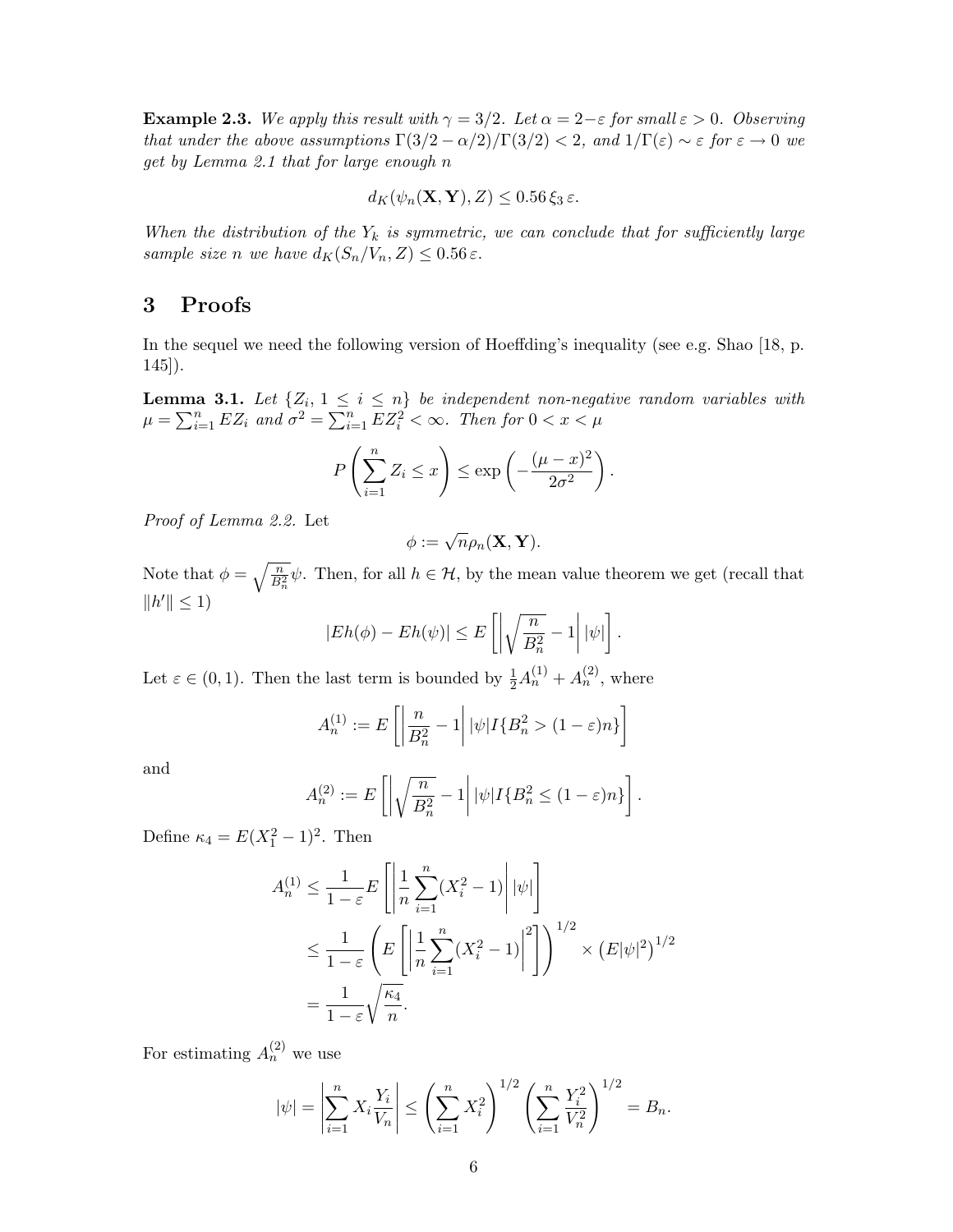**Example 2.3.** We apply this result with  $\gamma = 3/2$ . Let  $\alpha = 2 - \varepsilon$  for small  $\varepsilon > 0$ . Observing that under the above assumptions  $\Gamma(3/2 - \alpha/2)/\Gamma(3/2) < 2$ , and  $1/\Gamma(\varepsilon) \sim \varepsilon$  for  $\varepsilon \to 0$  we get by Lemma 2.1 that for large enough n

$$
d_K(\psi_n(\mathbf{X}, \mathbf{Y}), Z) \leq 0.56 \,\xi_3 \,\varepsilon.
$$

When the distribution of the  $Y_k$  is symmetric, we can conclude that for sufficiently large sample size n we have  $d_K(S_n/V_n, Z) \leq 0.56 \varepsilon$ .

## 3 Proofs

In the sequel we need the following version of Hoeffding's inequality (see e.g. Shao [18, p. 145]).

**Lemma 3.1.** Let  $\{Z_i, 1 \leq i \leq n\}$  be independent non-negative random variables with  $\mu = \sum_{i=1}^n EZ_i$  and  $\sigma^2 = \sum_{i=1}^n EZ_i^2 < \infty$ . Then for  $0 < x < \mu$ 

$$
P\left(\sum_{i=1}^n Z_i \le x\right) \le \exp\left(-\frac{(\mu - x)^2}{2\sigma^2}\right).
$$

Proof of Lemma 2.2. Let

$$
\phi:=\sqrt{n}\rho_n(\mathbf{X},\mathbf{Y}).
$$

Note that  $\phi = \sqrt{\frac{n}{B_n^2}}\psi$ . Then, for all  $h \in \mathcal{H}$ , by the mean value theorem we get (recall that  $||h'|| \leq 1$ 

$$
|Eh(\phi) - Eh(\psi)| \le E\left[\left|\sqrt{\frac{n}{B_n^2}} - 1\right||\psi|\right].
$$

Let  $\varepsilon \in (0,1)$ . Then the last term is bounded by  $\frac{1}{2}A_n^{(1)} + A_n^{(2)}$ , where

$$
A_n^{(1)} := E\left[ \left| \frac{n}{B_n^2} - 1 \right| |\psi| I\{B_n^2 > (1 - \varepsilon)n\} \right]
$$

and

$$
A_n^{(2)} := E\left[ \left| \sqrt{\frac{n}{B_n^2}} - 1 \right| |\psi| I\{B_n^2 \le (1 - \varepsilon)n\} \right].
$$

Define  $\kappa_4 = E(X_1^2 - 1)^2$ . Then

$$
A_n^{(1)} \le \frac{1}{1-\varepsilon} E\left[\left|\frac{1}{n}\sum_{i=1}^n (X_i^2 - 1)\right| |\psi|\right]
$$
  

$$
\le \frac{1}{1-\varepsilon} \left( E\left[\left|\frac{1}{n}\sum_{i=1}^n (X_i^2 - 1)\right|^2\right] \right)^{1/2} \times \left( E|\psi|^2 \right)^{1/2}
$$
  

$$
= \frac{1}{1-\varepsilon} \sqrt{\frac{\kappa_4}{n}}.
$$

For estimating  $A_n^{(2)}$  we use

$$
|\psi| = \left|\sum_{i=1}^n X_i \frac{Y_i}{V_n}\right| \le \left(\sum_{i=1}^n X_i^2\right)^{1/2} \left(\sum_{i=1}^n \frac{Y_i^2}{V_n^2}\right)^{1/2} = B_n.
$$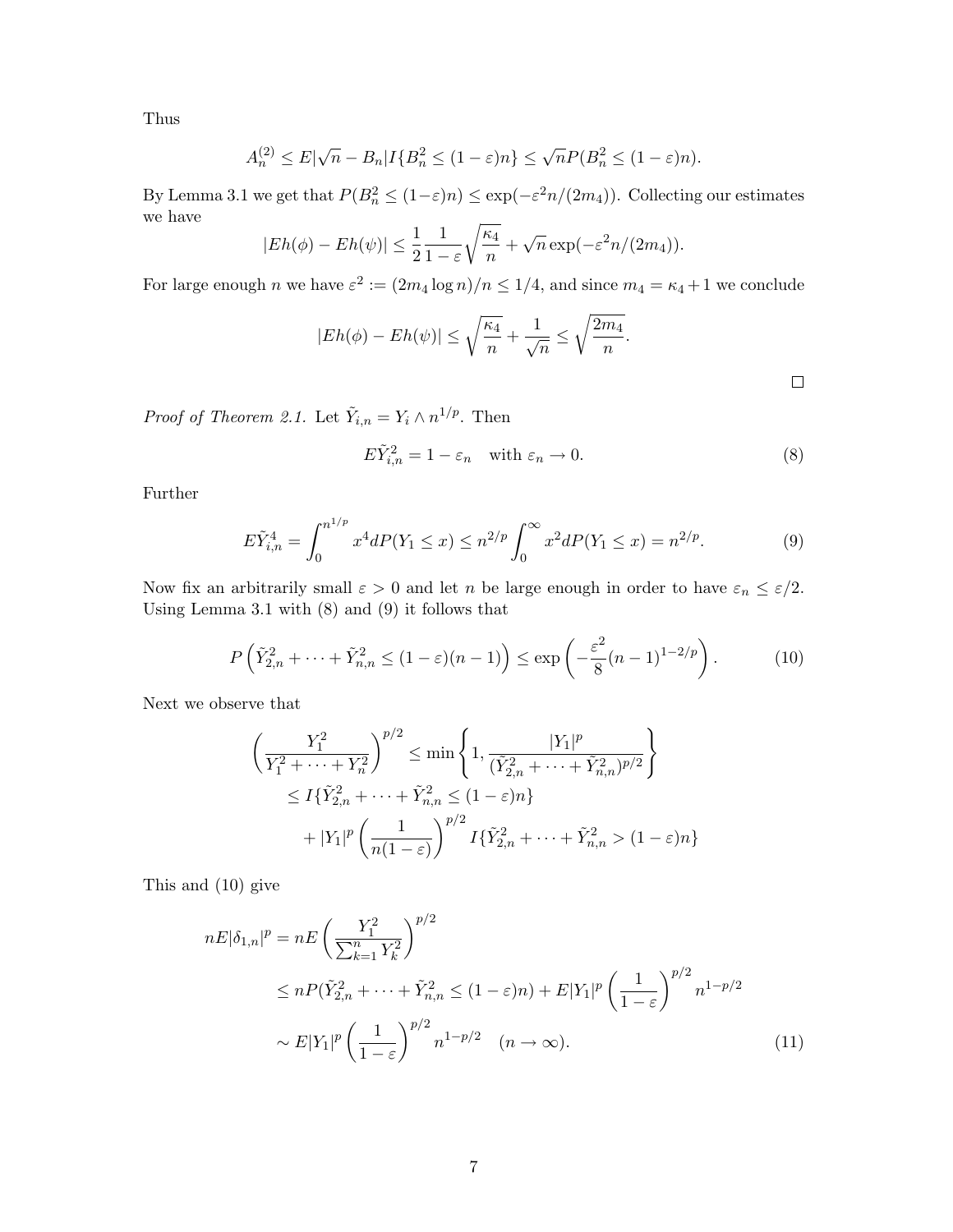Thus

$$
A_n^{(2)} \le E|\sqrt{n} - B_n| I\{B_n^2 \le (1 - \varepsilon)n\} \le \sqrt{n} P(B_n^2 \le (1 - \varepsilon)n).
$$

By Lemma 3.1 we get that  $P(B_n^2 \leq (1 - \varepsilon)n) \leq \exp(-\varepsilon^2 n/(2m_4))$ . Collecting our estimates we have

$$
|Eh(\phi) - Eh(\psi)| \leq \frac{1}{2} \frac{1}{1-\varepsilon} \sqrt{\frac{\kappa_4}{n}} + \sqrt{n} \exp(-\varepsilon^2 n/(2m_4)).
$$

For large enough n we have  $\varepsilon^2 := (2m_4 \log n)/n \leq 1/4$ , and since  $m_4 = \kappa_4 + 1$  we conclude

$$
|Eh(\phi) - Eh(\psi)| \le \sqrt{\frac{\kappa_4}{n}} + \frac{1}{\sqrt{n}} \le \sqrt{\frac{2m_4}{n}}.
$$

 $\Box$ 

*Proof of Theorem 2.1.* Let  $\tilde{Y}_{i,n} = Y_i \wedge n^{1/p}$ . Then

$$
E\tilde{Y}_{i,n}^2 = 1 - \varepsilon_n \quad \text{with } \varepsilon_n \to 0. \tag{8}
$$

Further

$$
E\tilde{Y}_{i,n}^4 = \int_0^{n^{1/p}} x^4 dP(Y_1 \le x) \le n^{2/p} \int_0^\infty x^2 dP(Y_1 \le x) = n^{2/p}.\tag{9}
$$

Now fix an arbitrarily small  $\varepsilon > 0$  and let n be large enough in order to have  $\varepsilon_n \leq \varepsilon/2$ . Using Lemma 3.1 with (8) and (9) it follows that

$$
P\left(\tilde{Y}_{2,n}^2 + \dots + \tilde{Y}_{n,n}^2 \le (1 - \varepsilon)(n - 1)\right) \le \exp\left(-\frac{\varepsilon^2}{8}(n - 1)^{1 - 2/p}\right). \tag{10}
$$

Next we observe that

$$
\left(\frac{Y_1^2}{Y_1^2 + \dots + Y_n^2}\right)^{p/2} \le \min\left\{1, \frac{|Y_1|^p}{(\tilde{Y}_{2,n}^2 + \dots + \tilde{Y}_{n,n}^2)^{p/2}}\right\}
$$
  

$$
\le I\{\tilde{Y}_{2,n}^2 + \dots + \tilde{Y}_{n,n}^2 \le (1-\varepsilon)n\}
$$
  

$$
+ |Y_1|^p \left(\frac{1}{n(1-\varepsilon)}\right)^{p/2} I\{\tilde{Y}_{2,n}^2 + \dots + \tilde{Y}_{n,n}^2 > (1-\varepsilon)n\}
$$

This and (10) give

$$
nE|\delta_{1,n}|^p = nE\left(\frac{Y_1^2}{\sum_{k=1}^n Y_k^2}\right)^{p/2}
$$
  
\n
$$
\leq nP(\tilde{Y}_{2,n}^2 + \dots + \tilde{Y}_{n,n}^2 \leq (1-\varepsilon)n) + E|Y_1|^p \left(\frac{1}{1-\varepsilon}\right)^{p/2} n^{1-p/2}
$$
  
\n
$$
\sim E|Y_1|^p \left(\frac{1}{1-\varepsilon}\right)^{p/2} n^{1-p/2} \quad (n \to \infty).
$$
\n(11)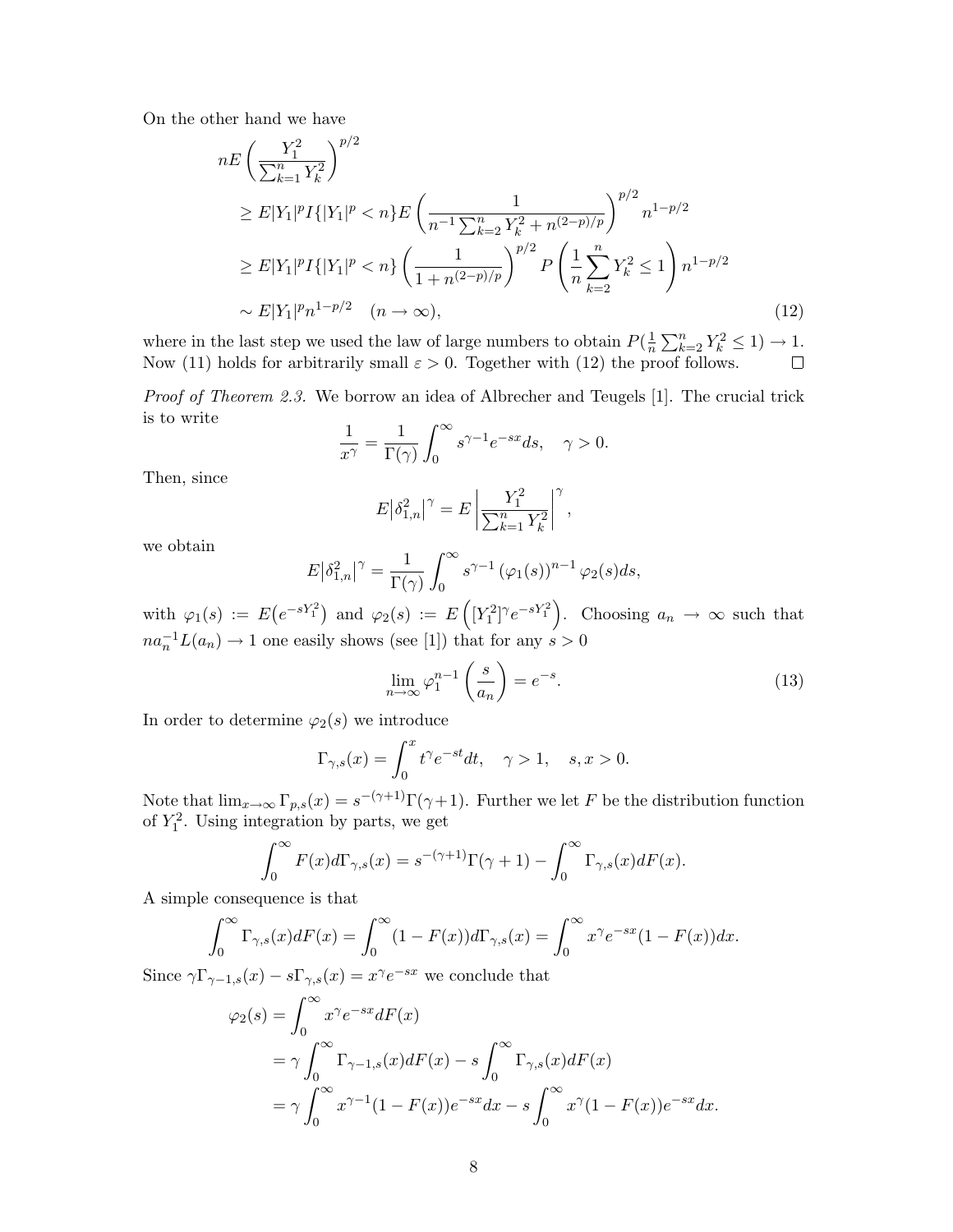On the other hand we have

$$
nE\left(\frac{Y_1^2}{\sum_{k=1}^n Y_k^2}\right)^{p/2}
$$
  
\n
$$
\geq E|Y_1|^p I\{|Y_1|^p < n\} E\left(\frac{1}{n^{-1}\sum_{k=2}^n Y_k^2 + n^{(2-p)/p}}\right)^{p/2} n^{1-p/2}
$$
  
\n
$$
\geq E|Y_1|^p I\{|Y_1|^p < n\} \left(\frac{1}{1+n^{(2-p)/p}}\right)^{p/2} P\left(\frac{1}{n}\sum_{k=2}^n Y_k^2 \leq 1\right) n^{1-p/2}
$$
  
\n
$$
\sim E|Y_1|^p n^{1-p/2} \quad (n \to \infty), \tag{12}
$$

where in the last step we used the law of large numbers to obtain  $P(\frac{1}{n})$  $\frac{1}{n}\sum_{k=2}^n Y_k^2 \leq 1 \rightarrow 1.$ Now (11) holds for arbitrarily small  $\varepsilon > 0$ . Together with (12) the proof follows.

*Proof of Theorem 2.3.* We borrow an idea of Albrecher and Teugels [1]. The crucial trick is to write

$$
\frac{1}{x^{\gamma}} = \frac{1}{\Gamma(\gamma)} \int_0^{\infty} s^{\gamma - 1} e^{-sx} ds, \quad \gamma > 0.
$$

Then, since

$$
E|\delta_{1,n}^{2}|^{\gamma} = E\left|\frac{Y_{1}^{2}}{\sum_{k=1}^{n} Y_{k}^{2}}\right|^{\gamma},\,
$$

we obtain

$$
E|\delta_{1,n}^2|^{\gamma} = \frac{1}{\Gamma(\gamma)} \int_0^{\infty} s^{\gamma-1} (\varphi_1(s))^{n-1} \varphi_2(s) ds,
$$

with  $\varphi_1(s) := E\left(e^{-sY_1^2}\right)$  and  $\varphi_2(s) := E\left(\left[Y_1^2\right]^\gamma e^{-sY_1^2}\right)$ . Choosing  $a_n \to \infty$  such that  $na_n^{-1}L(a_n) \to 1$  one easily shows (see [1]) that for any  $s > 0$ 

$$
\lim_{n \to \infty} \varphi_1^{n-1} \left( \frac{s}{a_n} \right) = e^{-s}.
$$
\n(13)

In order to determine  $\varphi_2(s)$  we introduce

$$
\Gamma_{\gamma,s}(x) = \int_0^x t^{\gamma} e^{-st} dt, \quad \gamma > 1, \quad s, x > 0.
$$

Note that  $\lim_{x\to\infty} \Gamma_{p,s}(x) = s^{-(\gamma+1)}\Gamma(\gamma+1)$ . Further we let F be the distribution function of  $Y_1^2$ . Using integration by parts, we get

$$
\int_0^\infty F(x)d\Gamma_{\gamma,s}(x) = s^{-(\gamma+1)}\Gamma(\gamma+1) - \int_0^\infty \Gamma_{\gamma,s}(x)dF(x).
$$

A simple consequence is that

$$
\int_0^\infty \Gamma_{\gamma,s}(x) dF(x) = \int_0^\infty (1 - F(x)) d\Gamma_{\gamma,s}(x) = \int_0^\infty x^\gamma e^{-sx} (1 - F(x)) dx.
$$

Since  $\gamma \Gamma_{\gamma-1,s}(x) - s \Gamma_{\gamma,s}(x) = x^{\gamma} e^{-sx}$  we conclude that

$$
\varphi_2(s) = \int_0^\infty x^\gamma e^{-sx} dF(x)
$$
  
=  $\gamma \int_0^\infty \Gamma_{\gamma-1,s}(x) dF(x) - s \int_0^\infty \Gamma_{\gamma,s}(x) dF(x)$   
=  $\gamma \int_0^\infty x^{\gamma-1} (1 - F(x)) e^{-sx} dx - s \int_0^\infty x^\gamma (1 - F(x)) e^{-sx} dx.$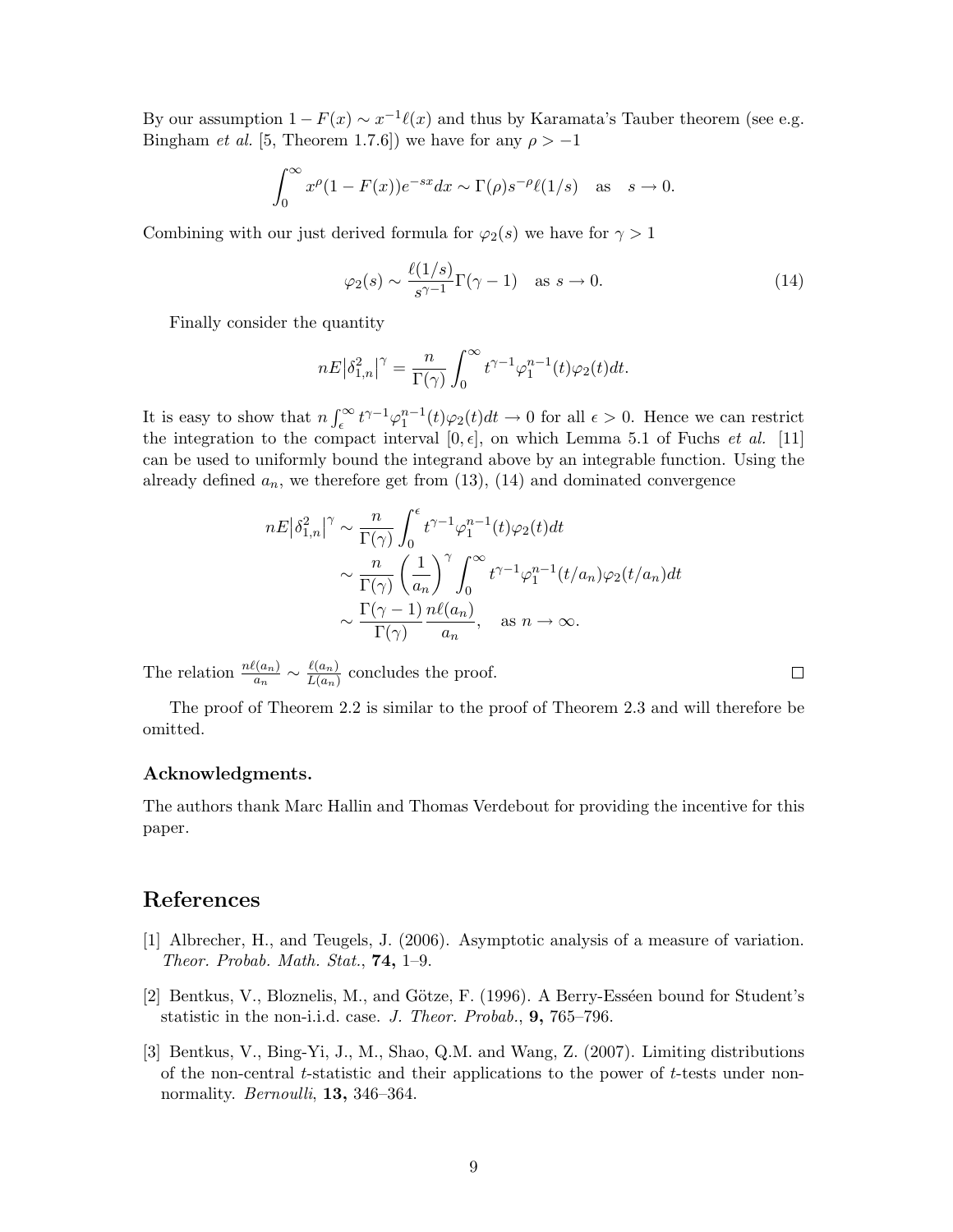By our assumption  $1 - F(x) \sim x^{-1} \ell(x)$  and thus by Karamata's Tauber theorem (see e.g. Bingham *et al.* [5, Theorem 1.7.6]) we have for any  $\rho > -1$ 

$$
\int_0^\infty x^\rho (1 - F(x)) e^{-sx} dx \sim \Gamma(\rho) s^{-\rho} \ell(1/s) \quad \text{as} \quad s \to 0.
$$

Combining with our just derived formula for  $\varphi_2(s)$  we have for  $\gamma > 1$ 

$$
\varphi_2(s) \sim \frac{\ell(1/s)}{s^{\gamma - 1}} \Gamma(\gamma - 1) \quad \text{as } s \to 0.
$$
 (14)

Finally consider the quantity

$$
nE\big|\delta_{1,n}^2\big|^{\gamma}=\frac{n}{\Gamma(\gamma)}\int_0^{\infty}t^{\gamma-1}\varphi_1^{n-1}(t)\varphi_2(t)dt.
$$

It is easy to show that  $n \int_{\epsilon}^{\infty} t^{\gamma-1} \varphi_1^{n-1}(t) \varphi_2(t) dt \to 0$  for all  $\epsilon > 0$ . Hence we can restrict the integration to the compact interval  $[0, \epsilon]$ , on which Lemma 5.1 of Fuchs *et al.* [11] can be used to uniformly bound the integrand above by an integrable function. Using the already defined  $a_n$ , we therefore get from (13), (14) and dominated convergence

$$
nE|\delta_{1,n}^2|^{\gamma} \sim \frac{n}{\Gamma(\gamma)} \int_0^{\epsilon} t^{\gamma-1} \varphi_1^{n-1}(t) \varphi_2(t) dt
$$

$$
\sim \frac{n}{\Gamma(\gamma)} \left(\frac{1}{a_n}\right)^{\gamma} \int_0^{\infty} t^{\gamma-1} \varphi_1^{n-1}(t/a_n) \varphi_2(t/a_n) dt
$$

$$
\sim \frac{\Gamma(\gamma-1)}{\Gamma(\gamma)} \frac{n\ell(a_n)}{a_n}, \quad \text{as } n \to \infty.
$$

The relation  $\frac{n\ell(a_n)}{a_n} \sim \frac{\ell(a_n)}{L(a_n)}$  $\frac{\ell(a_n)}{L(a_n)}$  concludes the proof.

The proof of Theorem 2.2 is similar to the proof of Theorem 2.3 and will therefore be omitted.

#### Acknowledgments.

The authors thank Marc Hallin and Thomas Verdebout for providing the incentive for this paper.

## References

- [1] Albrecher, H., and Teugels, J. (2006). Asymptotic analysis of a measure of variation. Theor. Probab. Math. Stat., 74, 1–9.
- [2] Bentkus, V., Bloznelis, M., and Götze, F. (1996). A Berry-Esséen bound for Student's statistic in the non-i.i.d. case. J. Theor. Probab., 9, 765–796.
- [3] Bentkus, V., Bing-Yi, J., M., Shao, Q.M. and Wang, Z. (2007). Limiting distributions of the non-central t-statistic and their applications to the power of t-tests under nonnormality. *Bernoulli*, **13**, 346–364.

 $\Box$